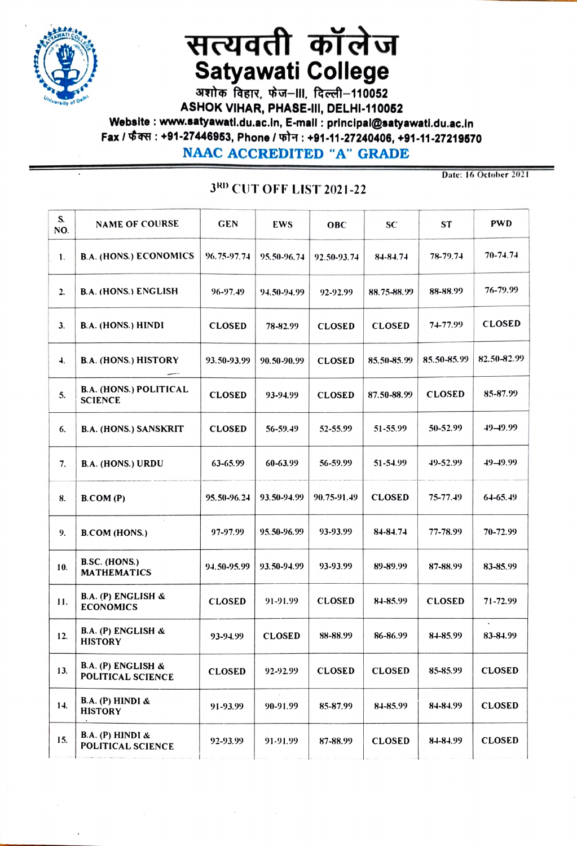

## सत्यवती कॉलेज Satyawati College

ASHOK VIHAR, PHASE-III, DELHI-110052<br>Website : www.satyawati.du.ac.in, E-mail : principal@satyawati.du.ac.in Fax / फैक्स : +91-27446953, Phone / फोन : +91-11-27240406, +91-11-27219570

NAAC ACCREDITED "A" GRADE

## 3RD CUT OFF LIST 2021-22

Date: 16 October 2021

| S.<br>NO. | <b>NAME OF COURSE</b>                           | <b>GEN</b>    | EWS           | <b>OBC</b>    | <b>SC</b>     | <b>ST</b>     | <b>PWD</b>    |
|-----------|-------------------------------------------------|---------------|---------------|---------------|---------------|---------------|---------------|
| 1.        | <b>B.A. (HONS.) ECONOMICS</b>                   | 96.75-97.74   | 95.50-96.74   | 92.50-93.74   | 84-84.74      | 78-79.74      | 70-74.74      |
| 2.        | <b>B.A. (HONS.) ENGLISH</b>                     | 96-97.49      | 94.50-94.99   | 92-92.99      | 88.75-88.99   | 88-88.99      | 76-79.99      |
| 3.        | <b>B.A.</b> (HONS.) HINDI                       | <b>CLOSED</b> | 78-82.99      | <b>CLOSED</b> | <b>CLOSED</b> | 74-77.99      | <b>CLOSED</b> |
| 4.        | <b>B.A. (HONS.) HISTORY</b>                     | 93.50-93.99   | 90.50-90.99   | <b>CLOSED</b> | 85.50-85.99   | 85.50-85.99   | 82.50-82.99   |
| 5.        | <b>B.A. (HONS.) POLITICAL</b><br><b>SCIENCE</b> | <b>CLOSED</b> | 93-94.99      | <b>CLOSED</b> | 87.50-88.99   | <b>CLOSED</b> | 85-87.99      |
| 6.        | <b>B.A. (HONS.) SANSKRIT</b>                    | <b>CLOSED</b> | 56-59.49      | 52-55.99      | 51-55.99      | 50-52.99      | $49 - 49.99$  |
| 7.        | <b>B.A. (HONS.) URDU</b>                        | 63-65.99      | 60-63.99      | 56-59.99      | 51-54.99      | 49-52.99      | $49 - 19.99$  |
| 8.        | B. COM (P)                                      | 95.50-96.24   | 93.50-94.99   | 90.75-91.49   | <b>CLOSED</b> | 75-77.49      | $64 - 65.49$  |
| 9.        | <b>B.COM (HONS.)</b>                            | 97-97.99      | 95.50-96.99   | 93-93.99      | 84-84.74      | 77-78.99      | 70-72.99      |
| 10.       | B.SC. (HONS.)<br><b>MATHEMATICS</b>             | 94.50-95.99   | 93.50-94.99   | 93-93.99      | 89-89.99      | 87-88.99      | 83-85.99      |
| 11.       | B.A. (P) ENGLISH &<br><b>ECONOMICS</b>          | <b>CLOSED</b> | 91-91.99      | <b>CLOSED</b> | 84-85.99      | <b>CLOSED</b> | 71-72.99      |
| 12.       | B.A. (P) ENGLISH &<br><b>HISTORY</b>            | 93-94.99      | <b>CLOSED</b> | 88-88.99      | 86-86.99      | 84-85.99      | 83-84.99      |
| 13.       | B.A. (P) ENGLISH &<br>POLITICAL SCIENCE         | <b>CLOSED</b> | 92-92.99      | <b>CLOSED</b> | <b>CLOSED</b> | 85-85.99      | <b>CLOSED</b> |
| 14.       | B.A. (P) HINDI &<br><b>HISTORY</b>              | 91-93.99      | 90-91.99      | 85-87.99      | 84-85.99      | 84-84.99      | <b>CLOSED</b> |
| 15.       | B.A. (P) HINDI &<br><b>POLITICAL SCIENCE</b>    | 92-93.99      | 91-91.99      | 87-88.99      | <b>CLOSED</b> | 84-84.99      | <b>CLOSED</b> |